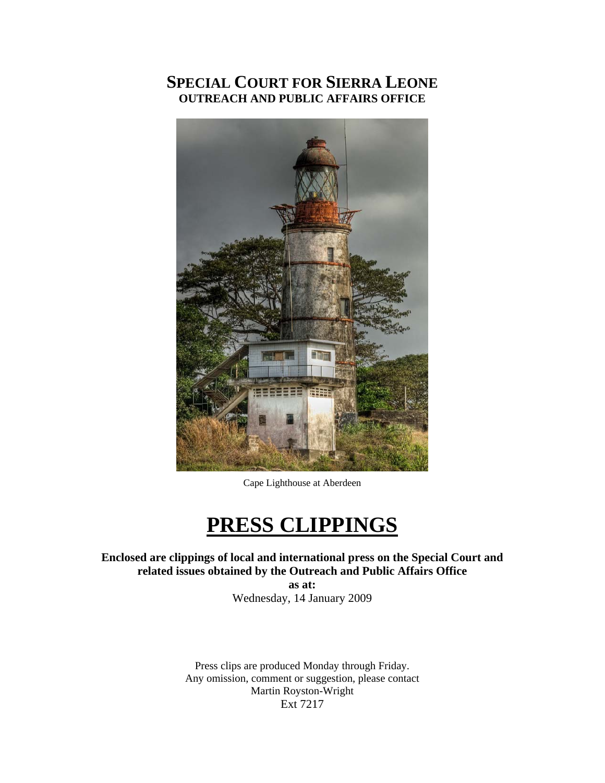## **SPECIAL COURT FOR SIERRA LEONE OUTREACH AND PUBLIC AFFAIRS OFFICE**



Cape Lighthouse at Aberdeen

# **PRESS CLIPPINGS**

**Enclosed are clippings of local and international press on the Special Court and related issues obtained by the Outreach and Public Affairs Office** 

**as at:**  Wednesday, 14 January 2009

Press clips are produced Monday through Friday. Any omission, comment or suggestion, please contact Martin Royston-Wright Ext 7217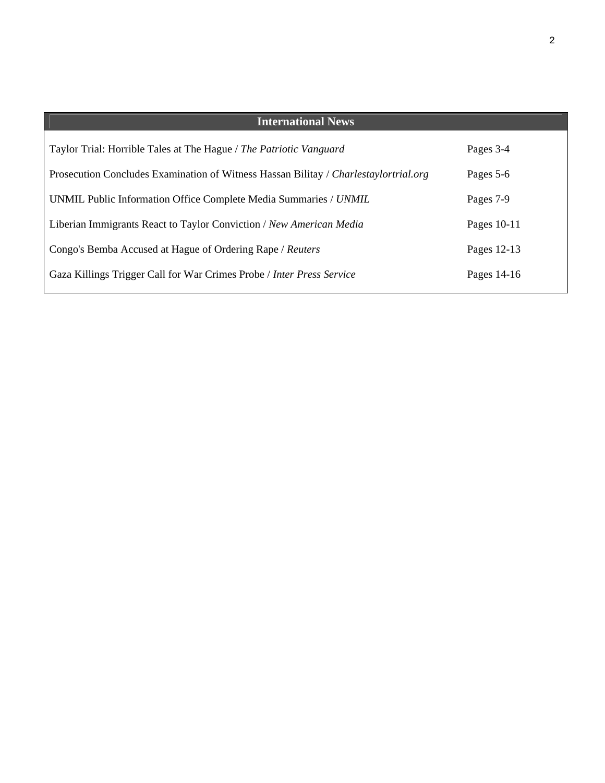| <b>International News</b>                                                            |             |
|--------------------------------------------------------------------------------------|-------------|
| Taylor Trial: Horrible Tales at The Hague / The Patriotic Vanguard                   | Pages 3-4   |
| Prosecution Concludes Examination of Witness Hassan Bilitay / Charlestaylortrial.org | Pages 5-6   |
| UNMIL Public Information Office Complete Media Summaries / UNMIL                     | Pages 7-9   |
| Liberian Immigrants React to Taylor Conviction / New American Media                  | Pages 10-11 |
| Congo's Bemba Accused at Hague of Ordering Rape / Reuters                            | Pages 12-13 |
| Gaza Killings Trigger Call for War Crimes Probe / Inter Press Service                | Pages 14-16 |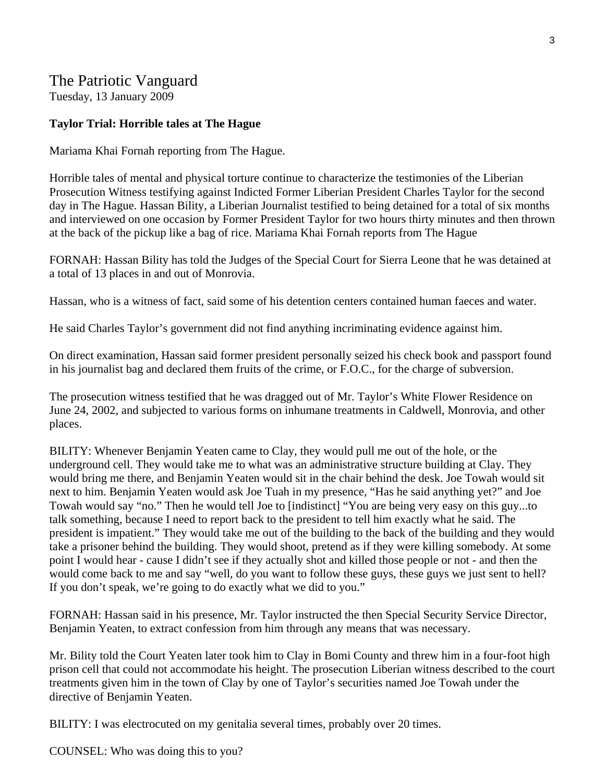## The Patriotic Vanguard

Tuesday, 13 January 2009

#### **Taylor Trial: Horrible tales at The Hague**

Mariama Khai Fornah reporting from The Hague.

Horrible tales of mental and physical torture continue to characterize the testimonies of the Liberian Prosecution Witness testifying against Indicted Former Liberian President Charles Taylor for the second day in The Hague. Hassan Bility, a Liberian Journalist testified to being detained for a total of six months and interviewed on one occasion by Former President Taylor for two hours thirty minutes and then thrown at the back of the pickup like a bag of rice. Mariama Khai Fornah reports from The Hague

FORNAH: Hassan Bility has told the Judges of the Special Court for Sierra Leone that he was detained at a total of 13 places in and out of Monrovia.

Hassan, who is a witness of fact, said some of his detention centers contained human faeces and water.

He said Charles Taylor's government did not find anything incriminating evidence against him.

On direct examination, Hassan said former president personally seized his check book and passport found in his journalist bag and declared them fruits of the crime, or F.O.C., for the charge of subversion.

The prosecution witness testified that he was dragged out of Mr. Taylor's White Flower Residence on June 24, 2002, and subjected to various forms on inhumane treatments in Caldwell, Monrovia, and other places.

BILITY: Whenever Benjamin Yeaten came to Clay, they would pull me out of the hole, or the underground cell. They would take me to what was an administrative structure building at Clay. They would bring me there, and Benjamin Yeaten would sit in the chair behind the desk. Joe Towah would sit next to him. Benjamin Yeaten would ask Joe Tuah in my presence, "Has he said anything yet?" and Joe Towah would say "no." Then he would tell Joe to [indistinct] "You are being very easy on this guy...to talk something, because I need to report back to the president to tell him exactly what he said. The president is impatient." They would take me out of the building to the back of the building and they would take a prisoner behind the building. They would shoot, pretend as if they were killing somebody. At some point I would hear - cause I didn't see if they actually shot and killed those people or not - and then the would come back to me and say "well, do you want to follow these guys, these guys we just sent to hell? If you don't speak, we're going to do exactly what we did to you."

FORNAH: Hassan said in his presence, Mr. Taylor instructed the then Special Security Service Director, Benjamin Yeaten, to extract confession from him through any means that was necessary.

Mr. Bility told the Court Yeaten later took him to Clay in Bomi County and threw him in a four-foot high prison cell that could not accommodate his height. The prosecution Liberian witness described to the court treatments given him in the town of Clay by one of Taylor's securities named Joe Towah under the directive of Benjamin Yeaten.

BILITY: I was electrocuted on my genitalia several times, probably over 20 times.

COUNSEL: Who was doing this to you?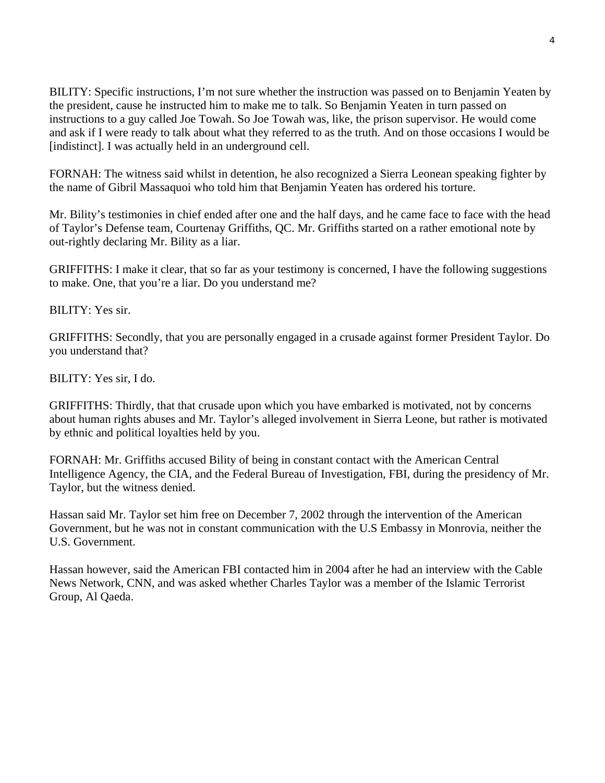BILITY: Specific instructions, I'm not sure whether the instruction was passed on to Benjamin Yeaten by the president, cause he instructed him to make me to talk. So Benjamin Yeaten in turn passed on instructions to a guy called Joe Towah. So Joe Towah was, like, the prison supervisor. He would come and ask if I were ready to talk about what they referred to as the truth. And on those occasions I would be [indistinct]. I was actually held in an underground cell.

FORNAH: The witness said whilst in detention, he also recognized a Sierra Leonean speaking fighter by the name of Gibril Massaquoi who told him that Benjamin Yeaten has ordered his torture.

Mr. Bility's testimonies in chief ended after one and the half days, and he came face to face with the head of Taylor's Defense team, Courtenay Griffiths, QC. Mr. Griffiths started on a rather emotional note by out-rightly declaring Mr. Bility as a liar.

GRIFFITHS: I make it clear, that so far as your testimony is concerned, I have the following suggestions to make. One, that you're a liar. Do you understand me?

BILITY: Yes sir.

GRIFFITHS: Secondly, that you are personally engaged in a crusade against former President Taylor. Do you understand that?

BILITY: Yes sir, I do.

GRIFFITHS: Thirdly, that that crusade upon which you have embarked is motivated, not by concerns about human rights abuses and Mr. Taylor's alleged involvement in Sierra Leone, but rather is motivated by ethnic and political loyalties held by you.

FORNAH: Mr. Griffiths accused Bility of being in constant contact with the American Central Intelligence Agency, the CIA, and the Federal Bureau of Investigation, FBI, during the presidency of Mr. Taylor, but the witness denied.

Hassan said Mr. Taylor set him free on December 7, 2002 through the intervention of the American Government, but he was not in constant communication with the U.S Embassy in Monrovia, neither the U.S. Government.

Hassan however, said the American FBI contacted him in 2004 after he had an interview with the Cable News Network, CNN, and was asked whether Charles Taylor was a member of the Islamic Terrorist Group, Al Qaeda.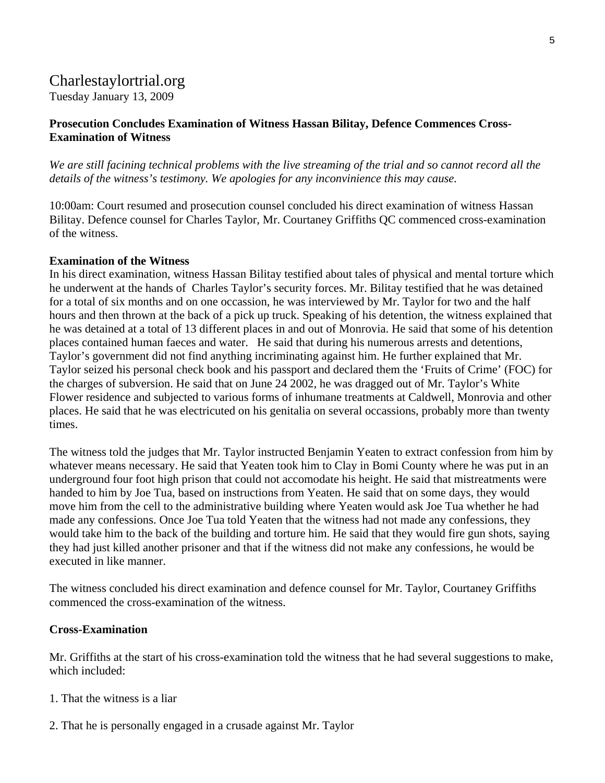## Charlestaylortrial.org

Tuesday January 13, 2009

#### **[Prosecution Concludes Examination of Witness Hassan Bilitay, Defence Commences Cross-](http://charlestaylortrial.org/2009/01/13/prosecution-concludes-examination-of-witness-hassan-bilitay-defence-commences-cross-examination-of-witness/)[Examination of Witness](http://charlestaylortrial.org/2009/01/13/prosecution-concludes-examination-of-witness-hassan-bilitay-defence-commences-cross-examination-of-witness/)**

*We are still facining technical problems with the live streaming of the trial and so cannot record all the details of the witness's testimony. We apologies for any inconvinience this may cause.*

10:00am: Court resumed and prosecution counsel concluded his direct examination of witness Hassan Bilitay. Defence counsel for Charles Taylor, Mr. Courtaney Griffiths QC commenced cross-examination of the witness.

#### **Examination of the Witness**

In his direct examination, witness Hassan Bilitay testified about tales of physical and mental torture which he underwent at the hands of Charles Taylor's security forces. Mr. Bilitay testified that he was detained for a total of six months and on one occassion, he was interviewed by Mr. Taylor for two and the half hours and then thrown at the back of a pick up truck. Speaking of his detention, the witness explained that he was detained at a total of 13 different places in and out of Monrovia. He said that some of his detention places contained human faeces and water. He said that during his numerous arrests and detentions, Taylor's government did not find anything incriminating against him. He further explained that Mr. Taylor seized his personal check book and his passport and declared them the 'Fruits of Crime' (FOC) for the charges of subversion. He said that on June 24 2002, he was dragged out of Mr. Taylor's White Flower residence and subjected to various forms of inhumane treatments at Caldwell, Monrovia and other places. He said that he was electricuted on his genitalia on several occassions, probably more than twenty times.

The witness told the judges that Mr. Taylor instructed Benjamin Yeaten to extract confession from him by whatever means necessary. He said that Yeaten took him to Clay in Bomi County where he was put in an underground four foot high prison that could not accomodate his height. He said that mistreatments were handed to him by Joe Tua, based on instructions from Yeaten. He said that on some days, they would move him from the cell to the administrative building where Yeaten would ask Joe Tua whether he had made any confessions. Once Joe Tua told Yeaten that the witness had not made any confessions, they would take him to the back of the building and torture him. He said that they would fire gun shots, saying they had just killed another prisoner and that if the witness did not make any confessions, he would be executed in like manner.

The witness concluded his direct examination and defence counsel for Mr. Taylor, Courtaney Griffiths commenced the cross-examination of the witness.

#### **Cross-Examination**

Mr. Griffiths at the start of his cross-examination told the witness that he had several suggestions to make, which included:

- 1. That the witness is a liar
- 2. That he is personally engaged in a crusade against Mr. Taylor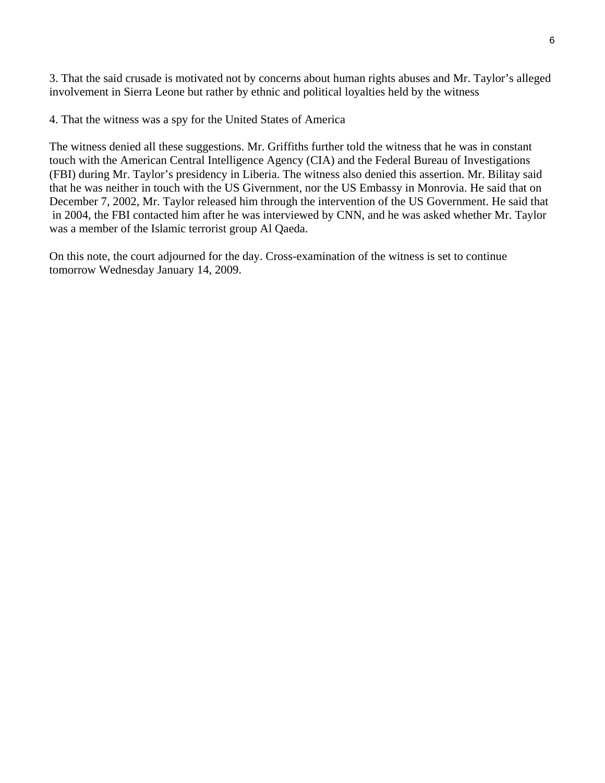3. That the said crusade is motivated not by concerns about human rights abuses and Mr. Taylor's alleged involvement in Sierra Leone but rather by ethnic and political loyalties held by the witness

4. That the witness was a spy for the United States of America

The witness denied all these suggestions. Mr. Griffiths further told the witness that he was in constant touch with the American Central Intelligence Agency (CIA) and the Federal Bureau of Investigations (FBI) during Mr. Taylor's presidency in Liberia. The witness also denied this assertion. Mr. Bilitay said that he was neither in touch with the US Givernment, nor the US Embassy in Monrovia. He said that on December 7, 2002, Mr. Taylor released him through the intervention of the US Government. He said that in 2004, the FBI contacted him after he was interviewed by CNN, and he was asked whether Mr. Taylor was a member of the Islamic terrorist group Al Qaeda.

On this note, the court adjourned for the day. Cross-examination of the witness is set to continue tomorrow Wednesday January 14, 2009.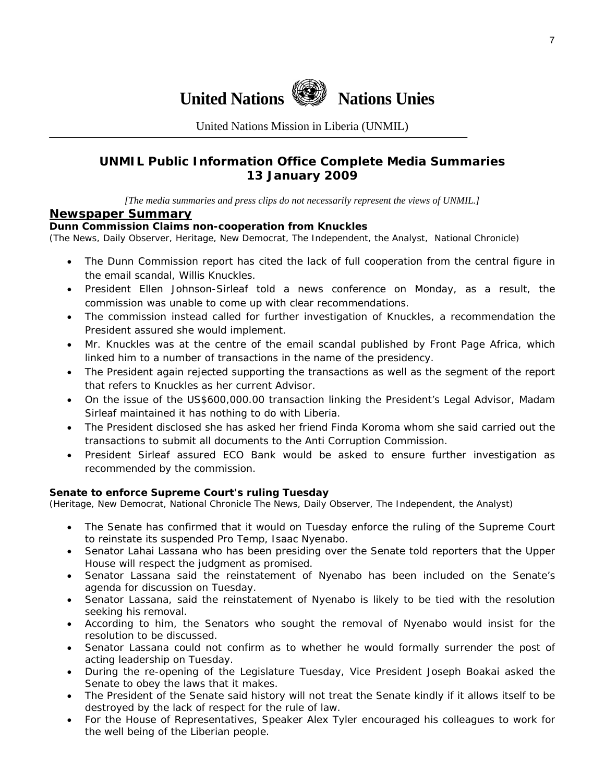

United Nations Mission in Liberia (UNMIL)

### **UNMIL Public Information Office Complete Media Summaries 13 January 2009**

*[The media summaries and press clips do not necessarily represent the views of UNMIL.]* 

#### **Newspaper Summary**

#### **Dunn Commission Claims non-cooperation from Knuckles**

(The News, Daily Observer, Heritage, New Democrat, The Independent, the Analyst, National Chronicle)

- The Dunn Commission report has cited the lack of full cooperation from the central figure in the email scandal, Willis Knuckles.
- President Ellen Johnson-Sirleaf told a news conference on Monday, as a result, the commission was unable to come up with clear recommendations.
- The commission instead called for further investigation of Knuckles, a recommendation the President assured she would implement.
- Mr. Knuckles was at the centre of the email scandal published by Front Page Africa, which linked him to a number of transactions in the name of the presidency.
- The President again rejected supporting the transactions as well as the segment of the report that refers to Knuckles as her current Advisor.
- On the issue of the US\$600,000.00 transaction linking the President's Legal Advisor, Madam Sirleaf maintained it has nothing to do with Liberia.
- The President disclosed she has asked her friend Finda Koroma whom she said carried out the transactions to submit all documents to the Anti Corruption Commission.
- President Sirleaf assured ECO Bank would be asked to ensure further investigation as recommended by the commission.

#### **Senate to enforce Supreme Court's ruling Tuesday**

(Heritage, New Democrat, National Chronicle The News, Daily Observer, The Independent, the Analyst)

- The Senate has confirmed that it would on Tuesday enforce the ruling of the Supreme Court to reinstate its suspended Pro Temp, Isaac Nyenabo.
- Senator Lahai Lassana who has been presiding over the Senate told reporters that the Upper House will respect the judgment as promised.
- Senator Lassana said the reinstatement of Nyenabo has been included on the Senate's agenda for discussion on Tuesday.
- Senator Lassana, said the reinstatement of Nyenabo is likely to be tied with the resolution seeking his removal.
- According to him, the Senators who sought the removal of Nyenabo would insist for the resolution to be discussed.
- Senator Lassana could not confirm as to whether he would formally surrender the post of acting leadership on Tuesday.
- During the re-opening of the Legislature Tuesday, Vice President Joseph Boakai asked the Senate to obey the laws that it makes.
- The President of the Senate said history will not treat the Senate kindly if it allows itself to be destroyed by the lack of respect for the rule of law.
- For the House of Representatives, Speaker Alex Tyler encouraged his colleagues to work for the well being of the Liberian people.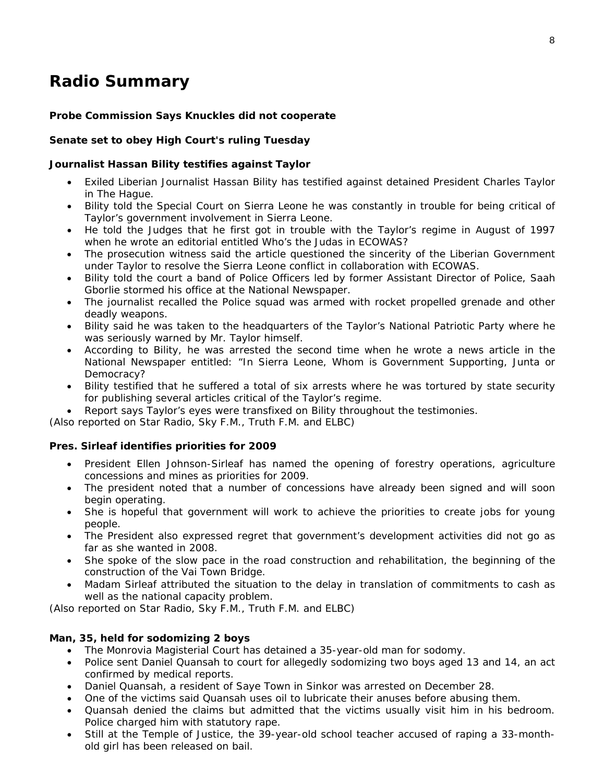## **Radio Summary**

#### **Probe Commission Says Knuckles did not cooperate**

#### **Senate set to obey High Court's ruling Tuesday**

#### **Journalist Hassan Bility testifies against Taylor**

- Exiled Liberian Journalist Hassan Bility has testified against detained President Charles Taylor in The Hague.
- Bility told the Special Court on Sierra Leone he was constantly in trouble for being critical of Taylor's government involvement in Sierra Leone.
- He told the Judges that he first got in trouble with the Taylor's regime in August of 1997 when he wrote an editorial entitled Who's the Judas in ECOWAS?
- The prosecution witness said the article questioned the sincerity of the Liberian Government under Taylor to resolve the Sierra Leone conflict in collaboration with ECOWAS.
- Bility told the court a band of Police Officers led by former Assistant Director of Police, Saah Gborlie stormed his office at the National Newspaper.
- The journalist recalled the Police squad was armed with rocket propelled grenade and other deadly weapons.
- Bility said he was taken to the headquarters of the Taylor's National Patriotic Party where he was seriously warned by Mr. Taylor himself.
- According to Bility, he was arrested the second time when he wrote a news article in the National Newspaper entitled: "In Sierra Leone, Whom is Government Supporting, Junta or Democracy?
- Bility testified that he suffered a total of six arrests where he was tortured by state security for publishing several articles critical of the Taylor's regime.
- Report says Taylor's eyes were transfixed on Bility throughout the testimonies.

*(Also reported on Star Radio, Sky F.M., Truth F.M. and ELBC*)

#### **Pres. Sirleaf identifies priorities for 2009**

- President Ellen Johnson-Sirleaf has named the opening of forestry operations, agriculture concessions and mines as priorities for 2009.
- The president noted that a number of concessions have already been signed and will soon begin operating.
- She is hopeful that government will work to achieve the priorities to create jobs for young people.
- The President also expressed regret that government's development activities did not go as far as she wanted in 2008.
- She spoke of the slow pace in the road construction and rehabilitation, the beginning of the construction of the Vai Town Bridge.
- Madam Sirleaf attributed the situation to the delay in translation of commitments to cash as well as the national capacity problem.

(*Also reported on Star Radio, Sky F.M., Truth F.M. and ELBC*)

#### **Man, 35, held for sodomizing 2 boys**

- The Monrovia Magisterial Court has detained a 35-year-old man for sodomy.
- Police sent Daniel Quansah to court for allegedly sodomizing two boys aged 13 and 14, an act confirmed by medical reports.
- Daniel Quansah, a resident of Saye Town in Sinkor was arrested on December 28.
- One of the victims said Quansah uses oil to lubricate their anuses before abusing them.
- Quansah denied the claims but admitted that the victims usually visit him in his bedroom. Police charged him with statutory rape.
- Still at the Temple of Justice, the 39-year-old school teacher accused of raping a 33-monthold girl has been released on bail.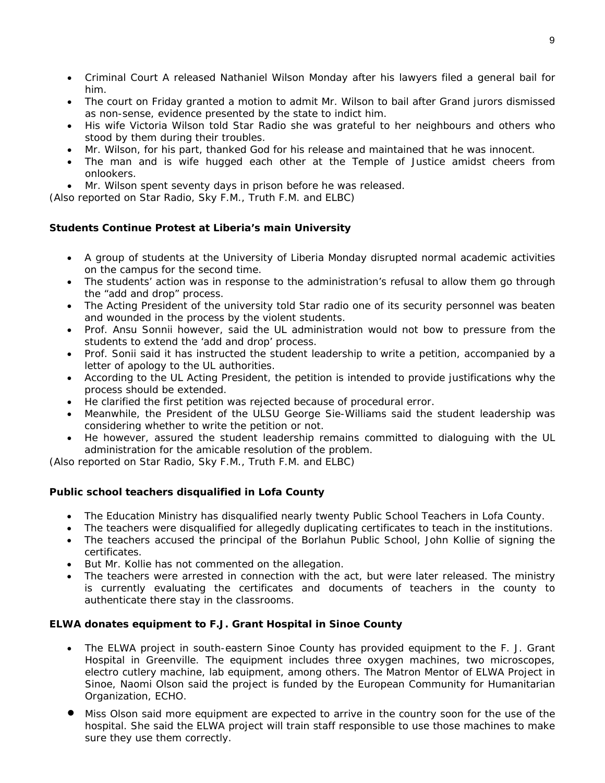- Criminal Court A released Nathaniel Wilson Monday after his lawyers filed a general bail for him.
- The court on Friday granted a motion to admit Mr. Wilson to bail after Grand jurors dismissed as non-sense, evidence presented by the state to indict him.
- His wife Victoria Wilson told Star Radio she was grateful to her neighbours and others who stood by them during their troubles.
- Mr. Wilson, for his part, thanked God for his release and maintained that he was innocent.
- The man and is wife hugged each other at the Temple of Justice amidst cheers from onlookers.
- Mr. Wilson spent seventy days in prison before he was released.

(*Also reported on Star Radio, Sky F.M., Truth F.M. and ELBC*)

#### **Students Continue Protest at Liberia's main University**

- A group of students at the University of Liberia Monday disrupted normal academic activities on the campus for the second time.
- The students' action was in response to the administration's refusal to allow them go through the "add and drop" process.
- The Acting President of the university told Star radio one of its security personnel was beaten and wounded in the process by the violent students.
- Prof. Ansu Sonnii however, said the UL administration would not bow to pressure from the students to extend the 'add and drop' process.
- Prof. Sonii said it has instructed the student leadership to write a petition, accompanied by a letter of apology to the UL authorities.
- According to the UL Acting President, the petition is intended to provide justifications why the process should be extended.
- He clarified the first petition was rejected because of procedural error.
- Meanwhile, the President of the ULSU George Sie-Williams said the student leadership was considering whether to write the petition or not.
- He however, assured the student leadership remains committed to dialoguing with the UL administration for the amicable resolution of the problem.

(*Also reported on Star Radio, Sky F.M., Truth F.M. and ELBC*)

#### **Public school teachers disqualified in Lofa County**

- The Education Ministry has disqualified nearly twenty Public School Teachers in Lofa County.
- The teachers were disqualified for allegedly duplicating certificates to teach in the institutions.
- The teachers accused the principal of the Borlahun Public School, John Kollie of signing the certificates.
- But Mr. Kollie has not commented on the allegation.
- The teachers were arrested in connection with the act, but were later released. The ministry is currently evaluating the certificates and documents of teachers in the county to authenticate there stay in the classrooms.

#### **ELWA donates equipment to F.J. Grant Hospital in Sinoe County**

- The ELWA project in south-eastern Sinoe County has provided equipment to the F. J. Grant Hospital in Greenville. The equipment includes three oxygen machines, two microscopes, electro cutlery machine, lab equipment, among others. The Matron Mentor of ELWA Project in Sinoe, Naomi Olson said the project is funded by the European Community for Humanitarian Organization, ECHO.
- Miss Olson said more equipment are expected to arrive in the country soon for the use of the hospital. She said the ELWA project will train staff responsible to use those machines to make sure they use them correctly.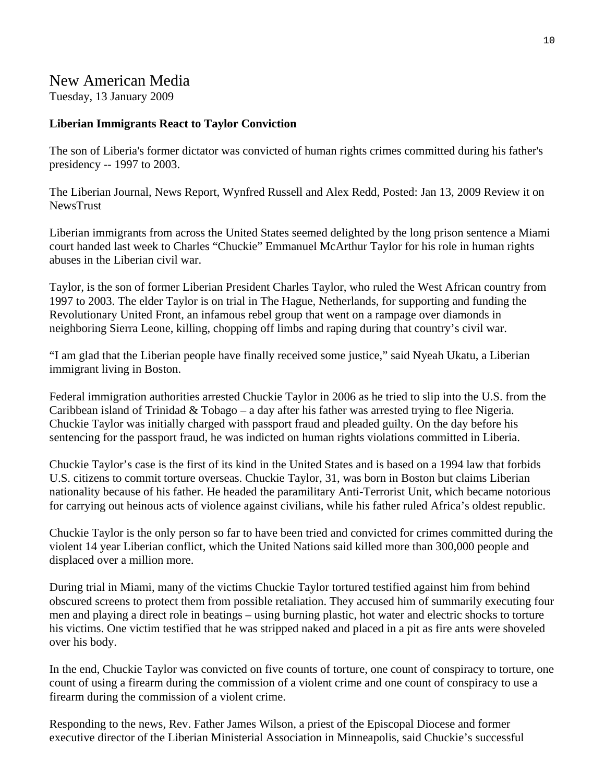## New American Media

Tuesday, 13 January 2009

### **Liberian Immigrants React to Taylor Conviction**

The son of Liberia's former dictator was convicted of human rights crimes committed during his father's presidency -- 1997 to 2003.

The Liberian Journal, News Report, Wynfred Russell and Alex Redd, Posted: Jan 13, 2009 Review it on NewsTrust

Liberian immigrants from across the United States seemed delighted by the long prison sentence a Miami court handed last week to Charles "Chuckie" Emmanuel McArthur Taylor for his role in human rights abuses in the Liberian civil war.

Taylor, is the son of former Liberian President Charles Taylor, who ruled the West African country from 1997 to 2003. The elder Taylor is on trial in The Hague, Netherlands, for supporting and funding the Revolutionary United Front, an infamous rebel group that went on a rampage over diamonds in neighboring Sierra Leone, killing, chopping off limbs and raping during that country's civil war.

"I am glad that the Liberian people have finally received some justice," said Nyeah Ukatu, a Liberian immigrant living in Boston.

Federal immigration authorities arrested Chuckie Taylor in 2006 as he tried to slip into the U.S. from the Caribbean island of Trinidad & Tobago – a day after his father was arrested trying to flee Nigeria. Chuckie Taylor was initially charged with passport fraud and pleaded guilty. On the day before his sentencing for the passport fraud, he was indicted on human rights violations committed in Liberia.

Chuckie Taylor's case is the first of its kind in the United States and is based on a 1994 law that forbids U.S. citizens to commit torture overseas. Chuckie Taylor, 31, was born in Boston but claims Liberian nationality because of his father. He headed the paramilitary Anti-Terrorist Unit, which became notorious for carrying out heinous acts of violence against civilians, while his father ruled Africa's oldest republic.

Chuckie Taylor is the only person so far to have been tried and convicted for crimes committed during the violent 14 year Liberian conflict, which the United Nations said killed more than 300,000 people and displaced over a million more.

During trial in Miami, many of the victims Chuckie Taylor tortured testified against him from behind obscured screens to protect them from possible retaliation. They accused him of summarily executing four men and playing a direct role in beatings – using burning plastic, hot water and electric shocks to torture his victims. One victim testified that he was stripped naked and placed in a pit as fire ants were shoveled over his body.

In the end, Chuckie Taylor was convicted on five counts of torture, one count of conspiracy to torture, one count of using a firearm during the commission of a violent crime and one count of conspiracy to use a firearm during the commission of a violent crime.

Responding to the news, Rev. Father James Wilson, a priest of the Episcopal Diocese and former executive director of the Liberian Ministerial Association in Minneapolis, said Chuckie's successful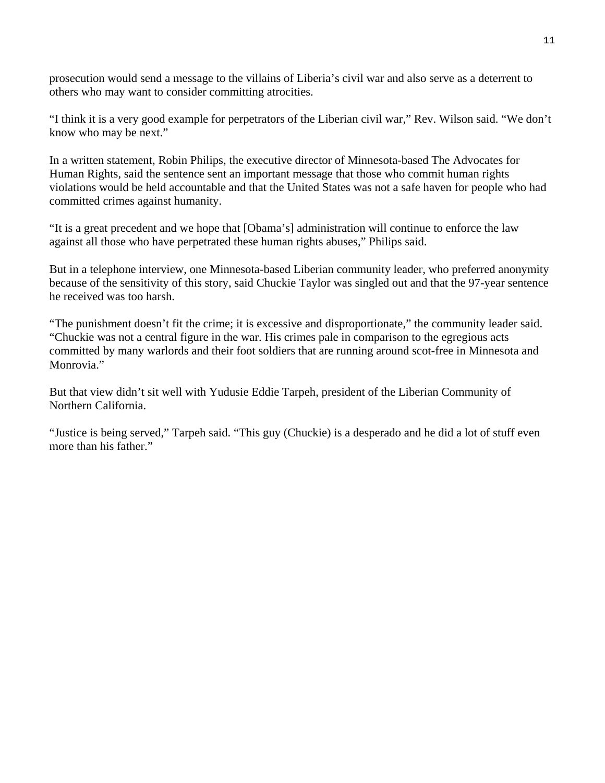prosecution would send a message to the villains of Liberia's civil war and also serve as a deterrent to others who may want to consider committing atrocities.

"I think it is a very good example for perpetrators of the Liberian civil war," Rev. Wilson said. "We don't know who may be next."

In a written statement, Robin Philips, the executive director of Minnesota-based The Advocates for Human Rights, said the sentence sent an important message that those who commit human rights violations would be held accountable and that the United States was not a safe haven for people who had committed crimes against humanity.

"It is a great precedent and we hope that [Obama's] administration will continue to enforce the law against all those who have perpetrated these human rights abuses," Philips said.

But in a telephone interview, one Minnesota-based Liberian community leader, who preferred anonymity because of the sensitivity of this story, said Chuckie Taylor was singled out and that the 97-year sentence he received was too harsh.

"The punishment doesn't fit the crime; it is excessive and disproportionate," the community leader said. "Chuckie was not a central figure in the war. His crimes pale in comparison to the egregious acts committed by many warlords and their foot soldiers that are running around scot-free in Minnesota and Monrovia."

But that view didn't sit well with Yudusie Eddie Tarpeh, president of the Liberian Community of Northern California.

"Justice is being served," Tarpeh said. "This guy (Chuckie) is a desperado and he did a lot of stuff even more than his father."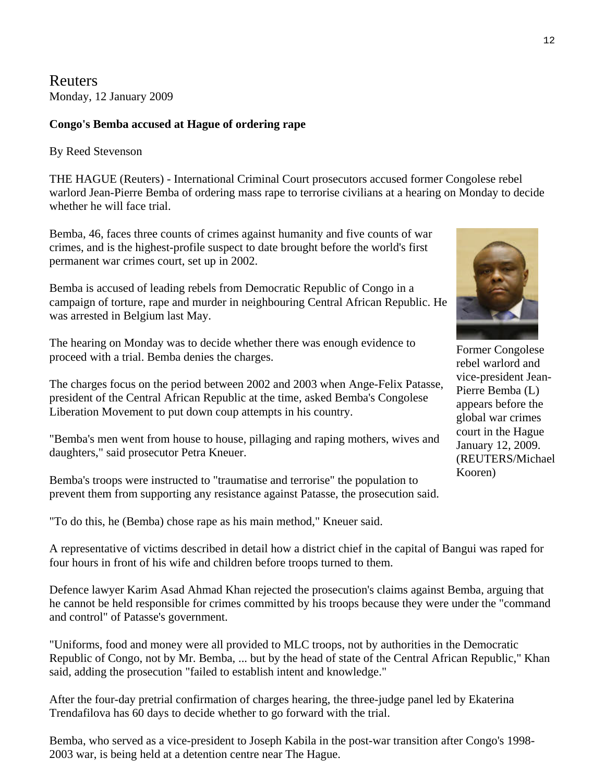Reuters Monday, 12 January 2009

#### **Congo's Bemba accused at Hague of ordering rape**

By Reed Stevenson

THE HAGUE (Reuters) - International Criminal Court prosecutors accused former Congolese rebel warlord Jean-Pierre Bemba of ordering mass rape to terrorise civilians at a hearing on Monday to decide whether he will face trial.

Bemba, 46, faces three counts of crimes against humanity and five counts of war crimes, and is the highest-profile suspect to date brought before the world's first permanent war crimes court, set up in 2002.

Bemba is accused of leading rebels from Democratic Republic of Congo in a campaign of torture, rape and murder in neighbouring Central African Republic. He was arrested in Belgium last May.

The hearing on Monday was to decide whether there was enough evidence to proceed with a trial. Bemba denies the charges.

The charges focus on the period between 2002 and 2003 when Ange-Felix Patasse, president of the Central African Republic at the time, asked Bemba's Congolese Liberation Movement to put down coup attempts in his country.

"Bemba's men went from house to house, pillaging and raping mothers, wives and daughters," said prosecutor Petra Kneuer.

Bemba's troops were instructed to "traumatise and terrorise" the population to prevent them from supporting any resistance against Patasse, the prosecution said.

"To do this, he (Bemba) chose rape as his main method," Kneuer said.

A representative of victims described in detail how a district chief in the capital of Bangui was raped for four hours in front of his wife and children before troops turned to them.

Defence lawyer Karim Asad Ahmad Khan rejected the prosecution's claims against Bemba, arguing that he cannot be held responsible for crimes committed by his troops because they were under the "command and control" of Patasse's government.

"Uniforms, food and money were all provided to MLC troops, not by authorities in the Democratic Republic of Congo, not by Mr. Bemba, ... but by the head of state of the Central African Republic," Khan said, adding the prosecution "failed to establish intent and knowledge."

After the four-day pretrial confirmation of charges hearing, the three-judge panel led by Ekaterina Trendafilova has 60 days to decide whether to go forward with the trial.

Bemba, who served as a vice-president to Joseph Kabila in the post-war transition after Congo's 1998- 2003 war, is being held at a detention centre near The Hague.

Former Congolese rebel warlord and vice-president Jean-Pierre Bemba (L) appears before the global war crimes court in the Hague January 12, 2009. (REUTERS/Michael Kooren)

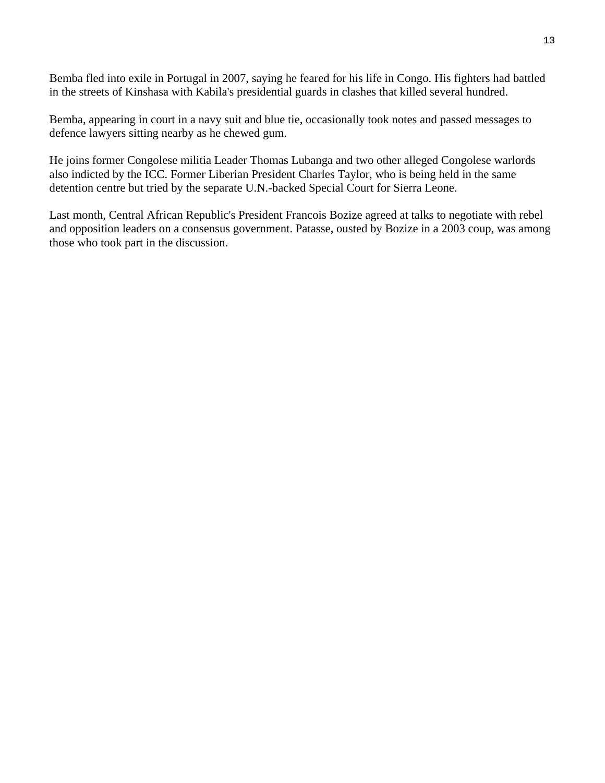Bemba fled into exile in Portugal in 2007, saying he feared for his life in Congo. His fighters had battled in the streets of Kinshasa with Kabila's presidential guards in clashes that killed several hundred.

Bemba, appearing in court in a navy suit and blue tie, occasionally took notes and passed messages to defence lawyers sitting nearby as he chewed gum.

He joins former Congolese militia Leader Thomas Lubanga and two other alleged Congolese warlords also indicted by the ICC. Former Liberian President Charles Taylor, who is being held in the same detention centre but tried by the separate U.N.-backed Special Court for Sierra Leone.

Last month, Central African Republic's President Francois Bozize agreed at talks to negotiate with rebel and opposition leaders on a consensus government. Patasse, ousted by Bozize in a 2003 coup, was among those who took part in the discussion.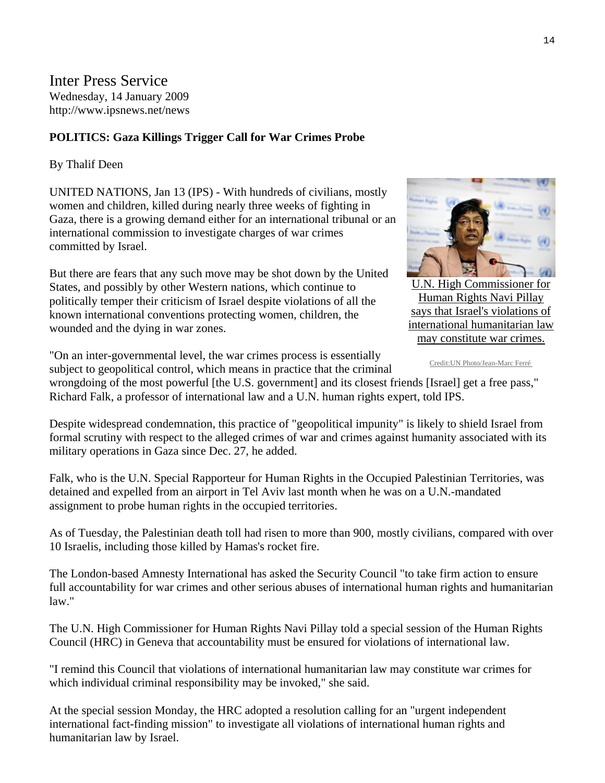Inter Press Service Wednesday, 14 January 2009 http://www.ipsnews.net/news

#### **POLITICS: Gaza Killings Trigger Call for War Crimes Probe**

By Thalif Deen

UNITED NATIONS, Jan 13 (IPS) - With hundreds of civilians, mostly women and children, killed during nearly three weeks of fighting in Gaza, there is a growing demand either for an international tribunal or an international commission to investigate charges of war crimes committed by Israel.

But there are fears that any such move may be shot down by the United States, and possibly by other Western nations, which continue to politically temper their criticism of Israel despite violations of all the known international conventions protecting women, children, the wounded and the dying in war zones.



[U.N. High Commissioner for](http://www.ipsnews.net/news.asp?idnews=45397)  Human Rights Navi Pillay says that Israel's violations of international humanitarian law may constitute war crimes.

Credit:UN Photo/Jean-Marc Ferré

"On an inter-governmental level, the war crimes process is essentially subject to geopolitical control, which means in practice that the criminal

wrongdoing of the most powerful [the U.S. government] and its closest friends [Israel] get a free pass," Richard Falk, a professor of international law and a U.N. human rights expert, told IPS.

Despite widespread condemnation, this practice of "geopolitical impunity" is likely to shield Israel from formal scrutiny with respect to the alleged crimes of war and crimes against humanity associated with its military operations in Gaza since Dec. 27, he added.

Falk, who is the U.N. Special Rapporteur for Human Rights in the Occupied Palestinian Territories, was detained and expelled from an airport in Tel Aviv last month when he was on a U.N.-mandated assignment to probe human rights in the occupied territories.

As of Tuesday, the Palestinian death toll had risen to more than 900, mostly civilians, compared with over 10 Israelis, including those killed by Hamas's rocket fire.

The London-based Amnesty International has asked the Security Council "to take firm action to ensure full accountability for war crimes and other serious abuses of international human rights and humanitarian law."

The U.N. High Commissioner for Human Rights Navi Pillay told a special session of the Human Rights Council (HRC) in Geneva that accountability must be ensured for violations of international law.

"I remind this Council that violations of international humanitarian law may constitute war crimes for which individual criminal responsibility may be invoked," she said.

At the special session Monday, the HRC adopted a resolution calling for an "urgent independent international fact-finding mission" to investigate all violations of international human rights and humanitarian law by Israel.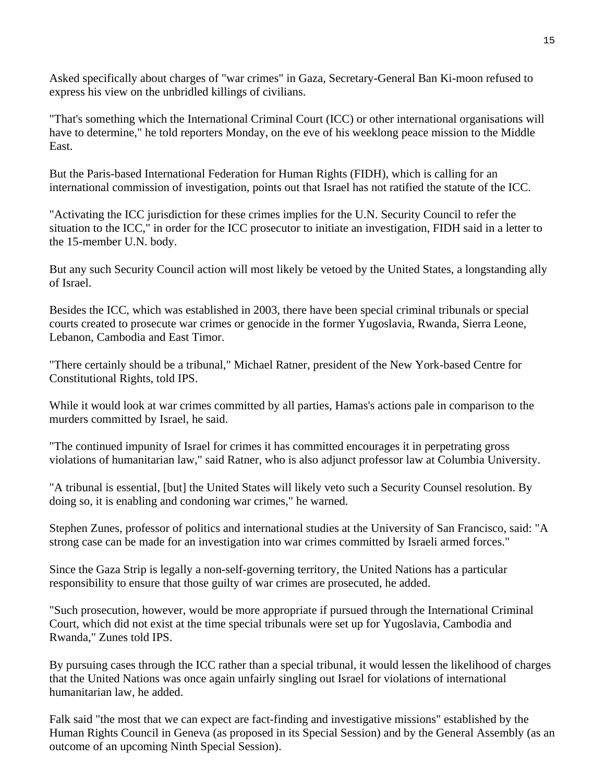Asked specifically about charges of "war crimes" in Gaza, Secretary-General Ban Ki-moon refused to express his view on the unbridled killings of civilians.

"That's something which the International Criminal Court (ICC) or other international organisations will have to determine," he told reporters Monday, on the eve of his weeklong peace mission to the Middle East.

But the Paris-based International Federation for Human Rights (FIDH), which is calling for an international commission of investigation, points out that Israel has not ratified the statute of the ICC.

"Activating the ICC jurisdiction for these crimes implies for the U.N. Security Council to refer the situation to the ICC," in order for the ICC prosecutor to initiate an investigation, FIDH said in a letter to the 15-member U.N. body.

But any such Security Council action will most likely be vetoed by the United States, a longstanding ally of Israel.

Besides the ICC, which was established in 2003, there have been special criminal tribunals or special courts created to prosecute war crimes or genocide in the former Yugoslavia, Rwanda, Sierra Leone, Lebanon, Cambodia and East Timor.

"There certainly should be a tribunal," Michael Ratner, president of the New York-based Centre for Constitutional Rights, told IPS.

While it would look at war crimes committed by all parties, Hamas's actions pale in comparison to the murders committed by Israel, he said.

"The continued impunity of Israel for crimes it has committed encourages it in perpetrating gross violations of humanitarian law," said Ratner, who is also adjunct professor law at Columbia University.

"A tribunal is essential, [but] the United States will likely veto such a Security Counsel resolution. By doing so, it is enabling and condoning war crimes," he warned.

Stephen Zunes, professor of politics and international studies at the University of San Francisco, said: "A strong case can be made for an investigation into war crimes committed by Israeli armed forces."

Since the Gaza Strip is legally a non-self-governing territory, the United Nations has a particular responsibility to ensure that those guilty of war crimes are prosecuted, he added.

"Such prosecution, however, would be more appropriate if pursued through the International Criminal Court, which did not exist at the time special tribunals were set up for Yugoslavia, Cambodia and Rwanda," Zunes told IPS.

By pursuing cases through the ICC rather than a special tribunal, it would lessen the likelihood of charges that the United Nations was once again unfairly singling out Israel for violations of international humanitarian law, he added.

Falk said "the most that we can expect are fact-finding and investigative missions" established by the Human Rights Council in Geneva (as proposed in its Special Session) and by the General Assembly (as an outcome of an upcoming Ninth Special Session).